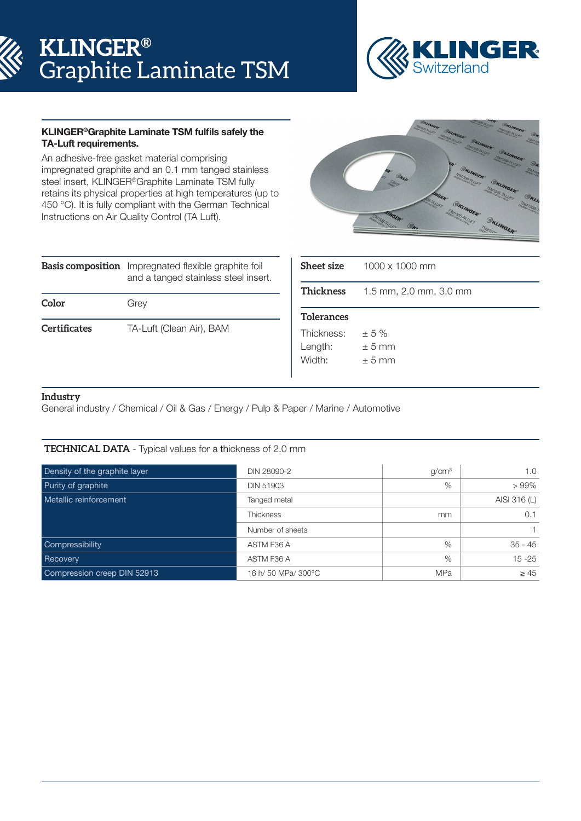# **KLINGER®** Graphite Laminate TSM



# KLINGER®Graphite Laminate TSM fulfils safely the TA-Luft requirements.

An adhesive-free gasket material comprising impregnated graphite and an 0.1 mm tanged stainless steel insert, KLINGER®Graphite Laminate TSM fully retains its physical properties at high temperatures (up to 450 °C). It is fully compliant with the German Technical Instructions on Air Quality Control (TA Luft).



|              | <b>Basis composition</b> Impregnated flexible graphite foil<br>and a tanged stainless steel insert. |  |  |  |
|--------------|-----------------------------------------------------------------------------------------------------|--|--|--|
| Color        | Grey                                                                                                |  |  |  |
| Certificates | TA-Luft (Clean Air), BAM                                                                            |  |  |  |

| Sheet size        | 1000 x 1000 mm         |
|-------------------|------------------------|
| Thickness         | 1.5 mm, 2.0 mm, 3.0 mm |
| <b>Tolerances</b> |                        |
| Thickness:        | $\pm$ 5 %              |
| Length:           | ± 5 mm                 |
| Width:            | $\pm$ 5 mm             |

# **Industry**

General industry / Chemical / Oil & Gas / Energy / Pulp & Paper / Marine / Automotive

## **TECHNICAL DATA** - Typical values for a thickness of 2.0 mm

| Density of the graphite layer | DIN 28090-2         | g/cm <sup>3</sup> | 1.0          |
|-------------------------------|---------------------|-------------------|--------------|
| Purity of graphite            | <b>DIN 51903</b>    | $\%$              | $>99\%$      |
| Metallic reinforcement        | Tanged metal        |                   | AISI 316 (L) |
|                               | <b>Thickness</b>    | mm                | 0.1          |
|                               | Number of sheets    |                   |              |
| Compressibility               | ASTM F36 A          | $\%$              | $35 - 45$    |
| Recovery                      | ASTM F36 A          | %                 | $15 - 25$    |
| Compression creep DIN 52913   | 16 h/ 50 MPa/ 300°C | <b>MPa</b>        | $\geq 45$    |